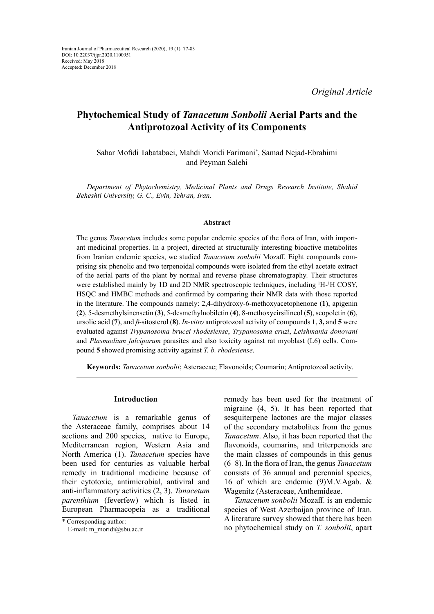*Original Article*

# **Phytochemical Study of** *Tanacetum Sonbolii* **Aerial Parts and the Antiprotozoal Activity of its Components**

Sahar Mofidi Tabatabaei, Mahdi Moridi Farimani*\** , Samad Nejad-Ebrahimi and Peyman Salehi

*Department of Phytochemistry, Medicinal Plants and Drugs Research Institute, Shahid Beheshti University, G. C., Evin, Tehran, Iran.*

### **Abstract**

The genus *Tanacetum* includes some popular endemic species of the flora of Iran, with important medicinal properties. In a project, directed at structurally interesting bioactive metabolites from Iranian endemic species, we studied *Tanacetum sonbolii* Mozaff*.* Eight compounds comprising six phenolic and two terpenoidal compounds were isolated from the ethyl acetate extract of the aerial parts of the plant by normal and reverse phase chromatography*.* Their structures were established mainly by 1D and 2D NMR spectroscopic techniques, including <sup>1</sup>H-<sup>1</sup>H COSY, HSQC and HMBC methods and confirmed by comparing their NMR data with those reported in the literature. The compounds namely: 2,4-dihydroxy-6-methoxyacetophenone (**1**), apigenin (**2**), 5-desmethylsinensetin (**3**), 5-desmethylnobiletin (**4**), 8-methoxycirsilineol (**5**), scopoletin (**6**), ursolic acid (**7**), and *β*-sitosterol (**8**). *In-vitro* antiprotozoal activity of compounds **1**, **3,** and **5** were evaluated against *Trypanosoma brucei rhodesiense*, *Trypanosoma cruzi*, *Leishmania donovani* and *Plasmodium falciparum* parasites and also toxicity against rat myoblast (L6) cells. Compound **5** showed promising activity against *T. b. rhodesiense*.

**Keywords:** *Tanacetum sonbolii*; Asteraceae; Flavonoids; Coumarin; Antiprotozoal activity.

## **Introduction**

*Tanacetum* is a remarkable genus of the Asteraceae family, comprises about 14 sections and 200 species, native to Europe, Mediterranean region, Western Asia and North America (1). *Tanacetum* species have been used for centuries as valuable herbal remedy in traditional medicine because of their cytotoxic, antimicrobial, antiviral and anti-inflammatory activities (2, 3). *Tanacetum parenthium* (feverfew) which is listed in European Pharmacopeia as a traditional

remedy has been used for the treatment of migraine (4, 5). It has been reported that sesquiterpene lactones are the major classes of the secondary metabolites from the genus *Tanacetum*. Also, it has been reported that the flavonoids, coumarins, and triterpenoids are the main classes of compounds in this genus (6–8). In the flora of Iran, the genus *Tanacetum* consists of 36 annual and perennial species, 16 of which are endemic (9)M.V.Agab. & Wagenitz (Asteraceae, Anthemideae.

*Tanacetum sonbolii* Mozaff. is an endemic species of West Azerbaijan province of Iran. A literature survey showed that there has been no phytochemical study on *T. sonbolii*, apart

<sup>\*</sup> Corresponding author:

E-mail: m\_moridi@sbu.ac.ir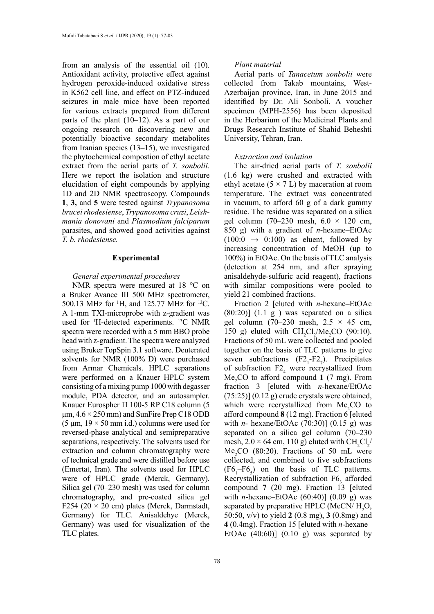from an analysis of the essential oil (10). Antioxidant activity, protective effect against hydrogen peroxide-induced oxidative stress in K562 cell line, and effect on PTZ-induced seizures in male mice have been reported for various extracts prepared from different parts of the plant (10–12). As a part of our ongoing research on discovering new and potentially bioactive secondary metabolites from Iranian species (13–15), we investigated the phytochemical compostion of ethyl acetate extract from the aerial parts of *T. sonbolii*. Here we report the isolation and structure elucidation of eight compounds by applying 1D and 2D NMR spectroscopy. Compounds **1**, **3,** and **5** were tested against *Trypanosoma brucei rhodesiense*, *Trypanosoma cruzi*, *Leishmania donovani* and *Plasmodium falciparum* parasites, and showed good activities against *T. b. rhodesiense.*

### **Experimental**

## *General experimental procedures*

NMR spectra were mesured at 18 °C on a Bruker Avance III 500 MHz spectrometer, 500.13 MHz for <sup>1</sup>H, and 125.77 MHz for <sup>13</sup>C. A 1-mm TXI-microprobe with z-gradient was used for 1 H-detected experiments. 13C NMR spectra were recorded with a 5 mm BBO probe head with z-gradient. The spectra were analyzed using Bruker TopSpin 3.1 software. Deuterated solvents for NMR (100% D) were purchased from Armar Chemicals. HPLC separations were performed on a Knauer HPLC system consisting of a mixing pump 1000 with degasser module, PDA detector, and an autosampler. Knauer Eurospher П 100-5 RP C18 column (5  $\mu$ m,  $4.6 \times 250$  mm) and SunFire Prep C18 ODB  $(5 \mu m, 19 \times 50 \mu m$  i.d.) columns were used for reversed-phase analytical and semipreparative separations, respectively. The solvents used for extraction and column chromatography were of technical grade and were distilled before use (Emertat, Iran). The solvents used for HPLC were of HPLC grade (Merck, Germany). Silica gel (70–230 mesh) was used for column chromatography, and pre-coated silica gel F254 (20  $\times$  20 cm) plates (Merck, Darmstadt, Germany) for TLC. Anisaldehye (Merck, Germany) was used for visualization of the TLC plates.

## *Plant material*

Aerial parts of *Tanacetum sonbolii* were collected from Takab mountains, West-Azerbaijan province, Iran, in June 2015 and identified by Dr. Ali Sonboli. A voucher specimen (MPH-2556) has been deposited in the Herbarium of the Medicinal Plants and Drugs Research Institute of Shahid Beheshti University, Tehran, Iran.

### *Extraction and isolation*

The air-dried aerial parts of *T. sonbolii* (1.6 kg) were crushed and extracted with ethyl acetate  $(5 \times 7 \text{ L})$  by maceration at room temperature. The extract was concentrated in vacuum, to afford 60 g of a dark gummy residue. The residue was separated on a silica gel column (70–230 mesh,  $6.0 \times 120$  cm, 850 g) with a gradient of *n*-hexane–EtOAc  $(100:0 \rightarrow 0:100)$  as eluent, followed by increasing concentration of MeOH (up to 100%) in EtOAc. On the basis of TLC analysis (detection at 254 nm, and after spraying anisaldehyde-sulfuric acid reagent), fractions with similar compositions were pooled to yield 21 combined fractions.

Fraction 2 [eluted with *n*-hexane–EtOAc  $(80:20)$ ]  $(1.1 \text{ g})$  was separated on a silica gel column (70–230 mesh,  $2.5 \times 45$  cm, 150 g) eluted with  $CH_2Cl_2/Me_2CO$  (90:10). Fractions of 50 mL were collected and pooled together on the basis of TLC patterns to give seven subfractions  $(F2_1-F2_7)$ . Precipitates of subfraction  $F2_4$  were recrystallized from Me<sub>2</sub>CO to afford compound 1 (7 mg). From fraction 3 [eluted with *n*-hexane/EtOAc  $(75:25)$ ]  $(0.12 \text{ g})$  crude crystals were obtained, which were recrystallized from  $Me<sub>2</sub>CO$  to afford compound **8** (12 mg). Fraction 6 [eluted with *n*- hexane/EtOAc (70:30)] (0.15 g) was separated on a silica gel column (70–230 mesh,  $2.0 \times 64$  cm, 110 g) eluted with CH<sub>2</sub>Cl<sub>2</sub>  $Me<sub>2</sub>CO$  (80:20). Fractions of 50 mL were collected, and combined to five subfractions  $(F6<sub>1</sub> - F6<sub>5</sub>)$  on the basis of TLC patterns. Recrystallization of subfraction  $F6<sub>3</sub>$  afforded compound **7** (20 mg). Fraction 13 [eluted with *n*-hexane–EtOAc (60:40)] (0.09 g) was separated by preparative HPLC (MeCN/ $H_2O$ , 50:50, v/v) to yield **2** (0.8 mg), **3** (0.8mg) and **4** (0.4mg). Fraction 15 [eluted with *n*-hexane– EtOAc  $(40:60)$ ]  $(0.10 \text{ g})$  was separated by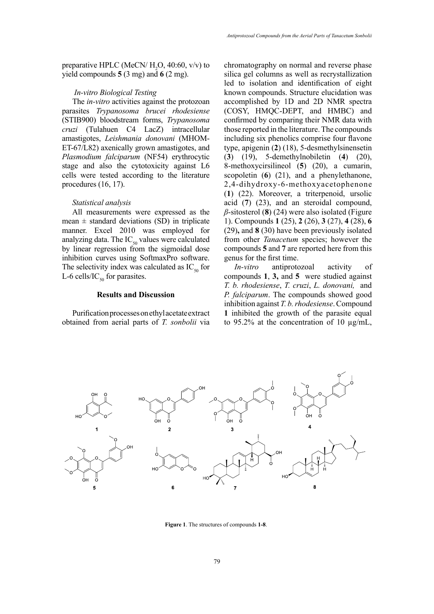preparative HPLC (MeCN/ $H_2$ O, 40:60, v/v) to yield compounds **5** (3 mg) and **6** (2 mg).

## *In-vitro Biological Testing*

The *in-vitro* activities against the protozoan parasites *Trypanosoma brucei rhodesiense*  (STIB900) bloodstream forms, *Trypanosoma cruzi* (Tulahuen C4 LacZ) intracellular amastigotes, *Leishmania donovani* (MHOM-ET-67/L82) axenically grown amastigotes, and *Plasmodium falciparum* (NF54) erythrocytic stage and also the cytotoxicity against L6 cells were tested according to the literature procedures (16, 17).

## *Statistical analysis*

All measurements were expressed as the mean  $\pm$  standard deviations (SD) in triplicate manner. Excel 2010 was employed for analyzing data. The  $IC_{50}$  values were calculated by linear regression from the sigmoidal dose inhibition curves using SoftmaxPro software. The selectivity index was calculated as  $IC_{50}$  for L-6 cells/IC<sub>50</sub> for parasites.

## **Results and Discussion**

Purification processes on ethyl acetate extract obtained from aerial parts of *T. sonbolii* via

chromatography on normal and reverse phase silica gel columns as well as recrystallization led to isolation and identification of eight known compounds. Structure elucidation was accomplished by 1D and 2D NMR spectra (COSY, HMQC-DEPT, and HMBC) and confirmed by comparing their NMR data with those reported in the literature. The compounds including six phenolics comprise four flavone type, apigenin (**2**) (18), 5-desmethylsinensetin (**3**) (19), 5-demethylnobiletin (**4**) (20), 8-methoxycirsilineol (**5**) (20), a cumarin, scopoletin (**6**) (21), and a phenylethanone, 2,4-dihydroxy-6-methoxyacetophenone (**1**) (22). Moreover, a triterpenoid, ursolic acid (**7**) (23), and an steroidal compound, *β*-sitosterol (**8**) (24) were also isolated (Figure 1). Compounds **1** (25), **2** (26), **3** (27), **4** (28), **6**  (29)**,** and **8** (30) have been previously isolated from other *Tanacetum* species; however the compounds **5** and **7** are reported here from this genus for the first time.

*In-vitro* antiprotozoal activity of compounds **1**, **3,** and **5** were studied against *T. b. rhodesiense*, *T. cruzi*, *L. donovani,* and *P. falciparum*. The compounds showed good inhibition against *T. b. rhodesiense*. Compound **1** inhibited the growth of the parasite equal to 95.2% at the concentration of 10  $\mu$ g/mL,



**Figure 1.** The structures of compounds 1-8.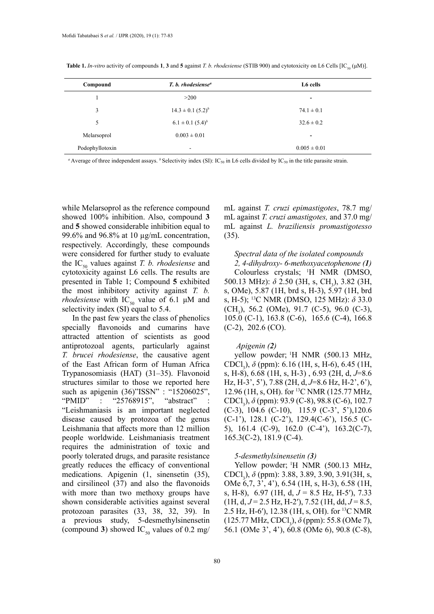| Compound        | T. b. rhodesiense <sup>a</sup> | L6 cells         |  |
|-----------------|--------------------------------|------------------|--|
|                 | >200                           | ۰                |  |
| 3               | $14.3 \pm 0.1$ $(5.2)^{b}$     | $74.1 \pm 0.1$   |  |
| 5               | $6.1 \pm 0.1$ $(5.4)^b$        | $32.6 \pm 0.2$   |  |
| Melarsoprol     | $0.003 \pm 0.01$               | ۰                |  |
| Podophyllotoxin | $\overline{\phantom{a}}$       | $0.005 \pm 0.01$ |  |
|                 |                                |                  |  |

**Table 1.** *In-vitro* activity of compounds **1**, **3** and **5** against *T. b. rhodesiense* (STIB 900) and cytotoxicity on L6 Cells  $[IC_{\epsilon_0}(\mu M)]$ .

<sup>*a*</sup> Average of three independent assays. <sup>*b*</sup> Selectivity index (SI): IC<sub>50</sub> in L6 cells divided by IC<sub>50</sub> in the title parasite strain.

while Melarsoprol as the reference compound showed 100% inhibition. Also, compound **3**  and **5** showed considerable inhibition equal to 99.6% and 96.8% at 10 µg/mL concentration, respectively. Accordingly, these compounds were considered for further study to evaluate the  $IC_{50}$  values against *T. b. rhodesiense* and cytotoxicity against L6 cells. The results are presented in Table 1; Compound **5** exhibited the most inhibitory activity against *T. b. rhodesiense* with  $IC_{50}$  value of 6.1  $\mu$ M and selectivity index (SI) equal to 5.4.

In the past few years the class of phenolics specially flavonoids and cumarins have attracted attention of scientists as good antiprotozoal agents, particularly against *T. brucei rhodesiense*, the causative agent of the East African form of Human Africa Trypanosomiasis (HAT) (31–35). Flavonoid structures similar to those we reported here such as apigenin (36)"ISSN" : "15206025", "PMID" : "25768915", "abstract" "Leishmaniasis is an important neglected disease caused by protozoa of the genus Leishmania that affects more than 12 million people worldwide. Leishmaniasis treatment requires the administration of toxic and poorly tolerated drugs, and parasite resistance greatly reduces the efficacy of conventional medications. Apigenin (1, sinensetin (35), and cirsilineol (37) and also the flavonoids with more than two methoxy groups have shown considerable activities against several protozoan parasites (33, 38, 32, 39). In a previous study, 5-desmethylsinensetin (compound 3) showed  $IC_{50}$  values of 0.2 mg/

mL against *T. cruzi epimastigotes*, 78.7 mg/ mL against *T. cruzi amastigotes,* and 37.0 mg/ mL against *L. braziliensis promastigotesso* (35).

## *Spectral data of the isolated compounds 2, 4-dihydroxy- 6-methoxyacetophenone (1)*

Colourless crystals; 1 H NMR (DMSO, 500.13 MHz):  $\delta$  2.50 (3H, s, CH<sub>3</sub>), 3.82 (3H, s, OMe), 5.87 (1H, brd s, H-3), 5.97 (1H, brd s, H-5); 13C NMR (DMSO, 125 MHz): *δ* 33.0  $(CH_3)$ , 56.2 (OMe), 91.7 (C-5), 96.0 (C-3), 105.0 (C-1), 163.8 (C-6), 165.6 (C-4), 166.8  $(C-2)$ , 202.6  $(CO)$ .

## *Apigenin (2)*

yellow powder; <sup>1</sup>H NMR (500.13 MHz, CDCl<sub>3</sub>), *δ* (ppm): 6.16 (1H, s, H-6), 6.45 (1H, s, H-8), 6.68 (1H, s, H-3) , 6.93 (2H, d, *J*=8.6 Hz, H-3', 5'), 7.88 (2H, d, *J*=8.6 Hz, H-2', 6'), 12.96 (1H, s, OH). for 13C NMR (125.77 MHz, CDCl<sub>3</sub>), *δ* (ppm): 93.9 (C-8), 98.8 (C-6), 102.7 (C-3), 104.6 (C-10), 115.9 (C-3', 5'),120.6 (C-1'), 128.1 (C-2'), 129.4(C-6'), 156.5 (C-5), 161.4 (C-9), 162.0 (C-4'), 163.2(C-7), 165.3(C-2), 181.9 (C-4).

## *5-desmethylsinensetin (3)*

Yellow powder; <sup>1</sup>H NMR (500.13 MHz, CDCl<sub>3</sub>), *δ* (ppm): 3.88, 3.89, 3.90, 3.91(3H, s, OMe 6,7, 3', 4'), 6.54 (1H, s, H-3), 6.58 (1H, s, H-8), 6.97 (1H, d, *J* = 8.5 Hz, H-5′), 7.33 (1H, d, *J* = 2.5 Hz, H-2′), 7.52 (1H, dd, *J* = 8.5, 2.5 Hz, H-6′), 12.38 (1H, s, OH). for 13C NMR (125.77 MHz, CDCl<sub>3</sub>),  $\delta$  (ppm): 55.8 (OMe 7), 56.1 (OMe 3', 4'), 60.8 (OMe 6), 90.8 (C-8),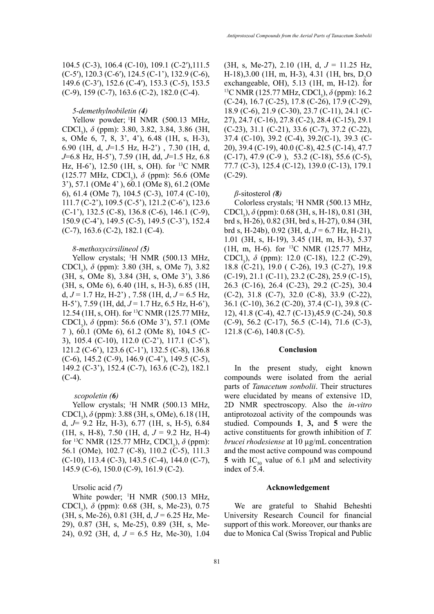### *5-demethylnobiletin (4)*

Yellow powder; <sup>1</sup>H NMR (500.13 MHz, CDCl3 ), *δ* (ppm): 3.80, 3.82, 3.84, 3.86 (3H, s, OMe 6, 7, 8, 3', 4'), 6.48 (1H, s, H-3), 6.90 (1H, d, *J*=1.5 Hz, H-2') , 7.30 (1H, d, *J*=6.8 Hz, H-5'), 7.59 (1H, dd, *J*=1.5 Hz, 6.8 Hz, H-6'), 12.50 (1H, s, OH). for 13C NMR (125.77 MHz, CDCl<sub>3</sub>), *δ* (ppm): 56.6 (OMe 3'), 57.1 (OMe 4' ), 60.1 (OMe 8), 61.2 (OMe 6), 61.4 (OMe 7), 104.5 (C-3), 107.4 (C-10), 111.7 (C-2'), 109.5 (C-5'), 121.2 (C-6'), 123.6 (C-1'), 132.5 (C-8), 136.8 (C-6), 146.1 (C-9), 150.9 (C-4'), 149.5 (C-5), 149.5 (C-3'), 152.4 (C-7), 163.6 (C-2), 182.1 (C-4).

### *8-methoxycirsilineol (5)*

Yellow crystals; <sup>1</sup>H NMR (500.13 MHz, CDCl<sub>3</sub>), *δ* (ppm): 3.80 (3H, s, OMe 7), 3.82 (3H, s, OMe 8), 3.84 (3H, s, OMe 3'), 3.86 (3H, s, OMe 6), 6.40 (1H, s, H-3), 6.85 (1H, d, *J* = 1.7 Hz, H-2') , 7.58 (1H, d, *J* = 6.5 Hz, H-5'), 7.59 (1H, dd, *J* = 1.7 Hz, 6.5 Hz, H-6'), 12.54 (1H, s, OH). for 13C NMR (125.77 MHz, CDCl<sub>3</sub>), *δ* (ppm): 56.6 (OMe 3'), 57.1 (OMe 7 ), 60.1 (OMe 6), 61.2 (OMe 8), 104.5 (C-3), 105.4 (C-10), 112.0 (C-2'), 117.1 (C-5'), 121.2 (C-6'), 123.6 (C-1'), 132.5 (C-8), 136.8 (C-6), 145.2 (C-9), 146.9 (C-4'), 149.5 (C-5), 149.2 (C-3'), 152.4 (C-7), 163.6 (C-2), 182.1  $(C-4)$ .

## *scopoletin (6)*

Yellow crystals; <sup>1</sup>H NMR (500.13 MHz, CDCl<sub>3</sub>), *δ* (ppm): 3.88 (3H, s, OMe), 6.18 (1H, d, *J*= 9.2 Hz, H-3), 6.77 (1H, s, H-5), 6.84  $(1H, s, H-8), 7.50$   $(1H, d, J = 9.2$  Hz, H-4) for <sup>13</sup>C NMR (125.77 MHz, CDCl<sub>3</sub>), *δ* (ppm): 56.1 (OMe), 102.7 (C-8), 110.2 (C-5), 111.3  $(C-10)$ , 113.4  $(C-3)$ , 143.5  $(C-4)$ , 144.0  $(C-7)$ , 145.9 (C-6), 150.0 (C-9), 161.9 (C-2).

Ursolic acid *(7)*

White powder; <sup>1</sup>H NMR (500.13 MHz, CDCl<sub>3</sub>), *δ* (ppm): 0.68 (3H, s, Me-23), 0.75 (3H, s, Me-26), 0.81 (3H, d, *J* = 6.25 Hz, Me-29), 0.87 (3H, s, Me-25), 0.89 (3H, s, Me-24), 0.92 (3H, d, *J* = 6.5 Hz, Me-30), 1.04

(3H, s, Me-27), 2.10 (1H, d, *J* = 11.25 Hz, H-18),3.00 (1H, m, H-3), 4.31 (1H, brs,  $D_2O$ exchangeable, OH), 5.13 (1H, m, H-12). for <sup>13</sup>C NMR (125.77 MHz, CDCl<sub>3</sub>), *δ* (ppm): 16.2 (C-24), 16.7 (C-25), 17.8 (C-26), 17.9 (C-29), 18.9 (C-6), 21.9 (C-30), 23.7 (C-11), 24.1 (C-27), 24.7 (C-16), 27.8 (C-2), 28.4 (C-15), 29.1 (C-23), 31.1 (C-21), 33.6 (C-7), 37.2 (C-22), 37.4 (C-10), 39.2 (C-4), 39.2(C-1), 39.3 (C-20), 39.4 (C-19), 40.0 (C-8), 42.5 (C-14), 47.7  $(C-17)$ , 47.9  $(C-9)$ , 53.2  $(C-18)$ , 55.6  $(C-5)$ , 77.7 (C-3), 125.4 (C-12), 139.0 (C-13), 179.1  $(C-29)$ .

### *β*-sitosterol *(8)*

Colorless crystals; 1 H NMR (500.13 MHz, CDCl<sub>3</sub>), δ (ppm): 0.68 (3H, s, H-18), 0.81 (3H, brd s, H-26), 0.82 (3H, brd s, H-27), 0.84 (3H, brd s, H-24b), 0.92 (3H, d, *J* = 6.7 Hz, H-21), 1.01 (3H, s, H-19), 3.45 (1H, m, H-3), 5.37 (1H, m, H-6). for 13C NMR (125.77 MHz, CDCl<sub>3</sub>), δ (ppm): 12.0 (C-18), 12.2 (C-29), 18.8 (C-21), 19.0 ( C-26), 19.3 (C-27), 19.8 (C-19), 21.1 (C-11), 23.2 (C-28), 25.9 (C-15), 26.3 (C-16), 26.4 (C-23), 29.2 (C-25), 30.4 (C-2), 31.8 (C-7), 32.0 (C-8), 33.9 (C-22), 36.1 (C-10), 36.2 (C-20), 37.4 (C-1), 39.8 (C-12), 41.8 (C-4), 42.7 (C-13),45.9 (C-24), 50.8 (C-9), 56.2 (C-17), 56.5 (C-14), 71.6 (C-3), 121.8 (C-6), 140.8 (C-5).

### **Conclusion**

In the present study, eight known compounds were isolated from the aerial parts of *Tanacetum sonbolii*. Their structures were elucidated by means of extensive 1D, 2D NMR spectroscopy. Also the *in-vitro* antiprotozoal activity of the compounds was studied. Compounds **1**, **3,** and **5** were the active constituents for growth inhibition of *T. brucei rhodesiense* at 10 µg/mL concentration and the most active compound was compound **5** with IC<sub>50</sub> value of 6.1  $\mu$ M and selectivity index of 5.4.

### **Acknowledgement**

We are grateful to Shahid Beheshti University Research Council for financial support of this work. Moreover, our thanks are due to Monica Cal (Swiss Tropical and Public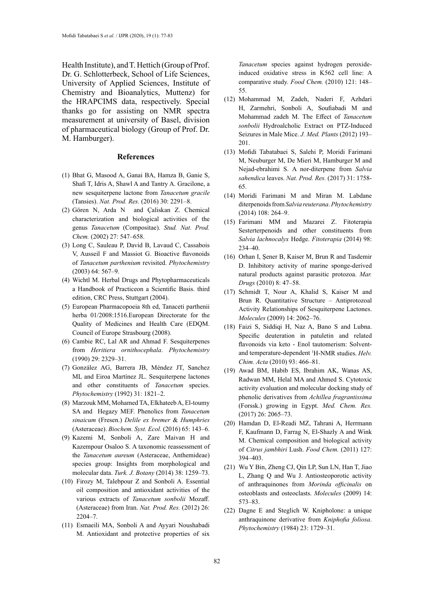Health Institute), and T. Hettich (Group of Prof. Dr. G. Schlotterbeck, School of Life Sciences, University of Applied Sciences, Institute of Chemistry and Bioanalytics, Muttenz) for the HRAPCIMS data, respectively. Special thanks go for assisting on NMR spectra measurement at university of Basel, division of pharmaceutical biology (Group of Prof. Dr. M. Hamburger).

### **References**

- (1) Bhat G, Masood A, Ganai BA, Hamza B, Ganie S, Shafi T, Idris A, Shawl A and Tantry A. Gracilone, a new sesquiterpene lactone from *Tanacetum gracile* (Tansies). *Nat. Prod. Res.* (2016) 30: 2291–8.
- (2) Gören N, Arda N and Çaliskan Z. Chemical characterization and biological activities of the genus *Tanacetum* (Compositae). *Stud. Nat. Prod. Chem.* (2002) 27: 547–658.
- (3) Long C, Sauleau P, David B, Lavaud C, Cassabois V, Ausseil F and Massiot G. Bioactive flavonoids of *Tanacetum parthenium* revisited. *Phytochemistry* (2003) 64: 567–9.
- (4) Wichtl M. Herbal Drugs and Phytopharmaceuticals a Handbook of Practiceon a Scientific Basis. third edition, CRC Press, Stuttgart (2004).
- (5) European Pharmacopoeia 8th ed, Tanaceti parthenii herba 01/2008:1516.European Directorate for the Quality of Medicines and Health Care (EDQM. Council of Europe Strasbourg (2008).
- (6) Cambie RC, Lal AR and Ahmad F. Sesquiterpenes from *Heritiera ornithocephala*. *Phytochemistry* (1990) 29: 2329–31.
- (7) González AG, Barrera JB, Méndez JT, Sanchez ML and Eiroa Martínez JL. Sesquiterpene lactones and other constituents of *Tanacetum* species. *Phytochemistry* (1992) 31: 1821–2.
- (8) Marzouk MM, Mohamed TA, Elkhateeb A, El-toumy SA and Hegazy MEF. Phenolics from *Tanacetum sinaicum* (Fresen.) *Delile ex bremer* & *Humphries* (Asteraceae). *Biochem. Syst. Ecol.* (2016) 65: 143–6.
- (9) Kazemi M, Sonboli A, Zare Maivan H and Kazempour Osaloo S. A taxonomic reassessment of the *Tanacetum aureum* (Asteraceae, Anthemideae) species group: Insights from morphological and molecular data. *Turk. J. Botany* (2014) 38: 1259–73.
- (10) Firozy M, Talebpour Z and Sonboli A. Essential oil composition and antioxidant activities of the various extracts of *Tanacetum sonbolii* Mozaff. (Asteraceae) from Iran. *Nat. Prod. Res.* (2012) 26: 2204–7.
- (11) Esmaeili MA, Sonboli A and Ayyari Noushabadi M. Antioxidant and protective properties of six

*Tanacetum* species against hydrogen peroxideinduced oxidative stress in K562 cell line: A comparative study. *Food Chem.* (2010) 121: 148– 55.

- (12) Mohammad M, Zadeh, Naderi F, Azhdari H, Zarmehri, Sonboli A, Soufiabadi M and Mohammad zadeh M. The Effect of *Tanacetum sonbolii* Hydroalcholic Extract on PTZ-Induced Seizures in Male Mice. *J. Med. Plants* (2012) 193– 201.
- (13) Mofidi Tabatabaei S, Salehi P, Moridi Farimani M, Neuburger M, De Mieri M, Hamburger M and Nejad-ebrahimi S. A nor-diterpene from *Salvia sahendica* leaves. *Nat. Prod. Res.* (2017) 31: 1758- 65.
- (14) Moridi Farimani M and Miran M. Labdane diterpenoids from *Salvia reuterana*. *Phytochemistry* (2014) 108: 264–9.
- (15) Farimani MM and Mazarei Z. Fitoterapia Sesterterpenoids and other constituents from *Salvia lachnocalyx* Hedge. *Fitoterapia* (2014) 98: 234–40.
- (16) Orhan I, Şener B, Kaiser M, Brun R and Tasdemir D. Inhibitory activity of marine sponge-derived natural products against parasitic protozoa. *Mar. Drugs* (2010) 8: 47–58.
- (17) Schmidt T, Nour A, Khalid S, Kaiser M and Brun R. Quantitative Structure - Antiprotozoal Activity Relationships of Sesquiterpene Lactones. *Molecules* (2009) 14: 2062–76.
- (18) Faizi S, Siddiqi H, Naz A, Bano S and Lubna. Specific deuteration in patuletin and related flavonoids via keto - Enol tautomerism: Solventand temperature-dependent 1 H-NMR studies. *Helv. Chim. Acta* (2010) 93: 466–81.
- (19) Awad BM, Habib ES, Ibrahim AK, Wanas AS, Radwan MM, Helal MA and Ahmed S. Cytotoxic activity evaluation and molecular docking study of phenolic derivatives from *Achillea fragrantissima*  (Forssk.) growing in Egypt. *Med. Chem. Res.* (2017) 26: 2065–73.
- (20) Hamdan D, El-Readi MZ, Tahrani A, Herrmann F, Kaufmann D, Farrag N, El-Shazly A and Wink M. Chemical composition and biological activity of *Citrus jambhiri* Lush. *Food Chem.* (2011) 127: 394–403.
- (21) Wu Y Bin, Zheng CJ, Qin LP, Sun LN, Han T, Jiao L, Zhang Q and Wu J. Antiosteoporotic activity of anthraquinones from *Morinda officinalis* on osteoblasts and osteoclasts. *Molecules* (2009) 14: 573–83.
- (22) Dagne E and Steglich W. Knipholone: a unique anthraquinone derivative from *Kniphofia foliosa*. *Phytochemistry* (1984) 23: 1729–31.